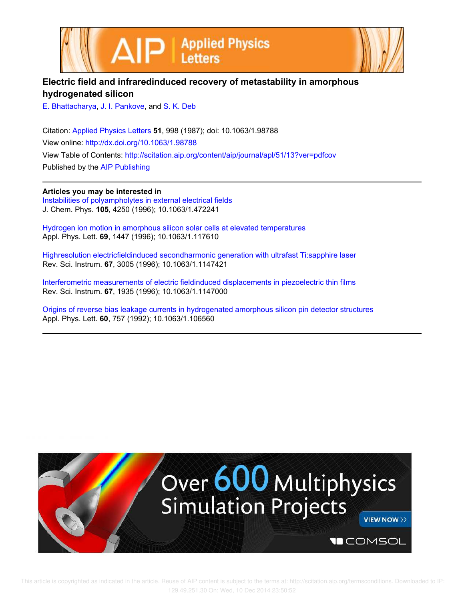



## **Electric field and infraredinduced recovery of metastability in amorphous hydrogenated silicon**

E. Bhattacharya, J. I. Pankove, and S. K. Deb

Citation: Applied Physics Letters **51**, 998 (1987); doi: 10.1063/1.98788 View online: http://dx.doi.org/10.1063/1.98788 View Table of Contents: http://scitation.aip.org/content/aip/journal/apl/51/13?ver=pdfcov Published by the AIP Publishing

**Articles you may be interested in**

Instabilities of polyampholytes in external electrical fields J. Chem. Phys. **105**, 4250 (1996); 10.1063/1.472241

Hydrogen ion motion in amorphous silicon solar cells at elevated temperatures Appl. Phys. Lett. **69**, 1447 (1996); 10.1063/1.117610

Highresolution electricfieldinduced secondharmonic generation with ultrafast Ti:sapphire laser Rev. Sci. Instrum. **67**, 3005 (1996); 10.1063/1.1147421

Interferometric measurements of electric fieldinduced displacements in piezoelectric thin films Rev. Sci. Instrum. **67**, 1935 (1996); 10.1063/1.1147000

Origins of reverse bias leakage currents in hydrogenated amorphous silicon pin detector structures Appl. Phys. Lett. **60**, 757 (1992); 10.1063/1.106560

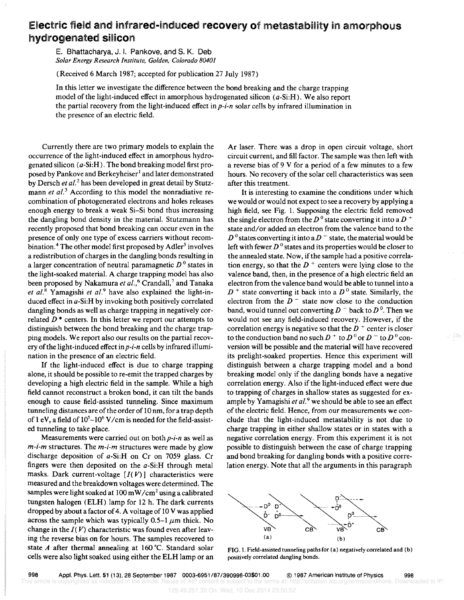## Electric field and infrared-induced recovery of metastability in amorphous hydrogenated silicon

E. Bhattacharya, J. I. Pankove, and S. K. Deb *Solar Energy Research Institute, Golden, Colorado 80401* 

(Received 6 March 1987; accepted for publication 27 July 1987)

In this letter we investigate the difference between the bond breaking and the charge trapping model of the light-induced effect in amorphous hydrogenated silicon (*a*-Si:H). We also report the partial recovery from the light-induced effect in *p-i-n* solar cells by infrared illumination in the presence of an electric field.

Currently there are two primary models to explain the occurrence of the light-induced effect in amorphous hydrogenated silicon (a-Si:H). The bond breaking model first proposed by Pankove and Berkeyheiser<sup>1</sup> and later demonstrated by Dersch *et al.*<sup>2</sup> has been developed in great detail by Stutzmann *et al.*<sup>3</sup> According to this model the nonradiative recombination of photogenerated electrons and holes releases enough energy to break a weak Si-Si bond thus increasing the dangling bond density in the material. Stutzmann has recently proposed that bond breaking can occur even in the presence of only one type of excess carriers without recombination.<sup>4</sup> The other model first proposed by  $\text{Adler}^5$  involves a redistribution of charges in the dangling bonds resulting in a larger concentration of neutral paramagnetic *D* 0 states in the light-soaked material. A charge trapping model has also been proposed by Nakamura et al.,<sup>6</sup> Crandall,<sup>7</sup> and Tanaka *et al. <sup>8</sup>*Yamagishi *et a/. <sup>9</sup>*have also explained the light-induced effect in a-Si:H by invoking both positively correlated dangling bonds as well as charge trapping in negatively correlated  $D^*$  centers. In this letter we report our attempts to distinguish between the bond breaking and the charge trapping models. We report also our results on the partial recovery of the light-induced effect *inp-i-n* cells by infrared illumination in the presence of an electric field.

If the light-induced effect is due to charge trapping alone, it should be possible to re-emit the trapped charges by developing a high electric field in the sample. While a high field cannot reconstruct a broken bond, it can tilt the bands enough to cause field-assisted tunneling. Since maximum tunneling distances are of the order of 10 nm, for a trap depth of 1 eV, a field of  $10^5 - 10^6$  V/cm is needed for the field-assisted tunneling to take place.

Measurements were carried out on both *p-i-n* as well as *m-i-m* structures. The *m-i-m* structures were made by glow discharge deposition of a-Si:H on Cr on 7059 glass. Cr fingers were then deposited on the a-Si:H through metal masks. Dark current-voltage  $[I(V)]$  characteristics were measured and the breakdown voltages were determined. The samples were light soaked at 100 mW/cm<sup>2</sup> using a calibrated tungsten halogen (ELH) lamp for 12 h. The dark currents dropped by about a factor of 4. A voltage of 10 V was applied across the sample which was typically 0.5-1  $\mu$ m thick. No change in the  $I(V)$  characteristic was found even after leaving the reverse bias on for hours. The samples recovered to state *A* after thermal annealing at 160°C. Standard solar cells were also light soaked using either the ELH lamp or an Ar laser. There was a drop in open circuit voltage, short circuit current, and fill factor. The sample was then left with a reverse bias of 9 V for a period of a few minutes to a few hours. No recovery of the solar cell characteristics was seen after this treatment.

It is interesting to examine the conditions under which we would or would not expect to see a recovery by applying a high field, see Fig. 1. Supposing the electric field removed the single electron from the  $D^0$  state converting it into a  $D^+$ state and/or added an electron from the valence band to the  $D^{0}$  states converting it into a  $D^{-}$  state, the material would be left with fewer  $D<sup>0</sup>$  states and its properties would be closer to the annealed state. Now, if the sample had a positive correlation energy, so that the  $D^+$  centers were lying close to the valence band, then, in the presence of a high electric field an electron from the valence band would be able to tunnel into a  $D^+$  state converting it back into a  $D^0$  state. Similarly, the electron from the  $D^-$  state now close to the conduction band, would tunnel out converting  $D^-$  back to  $D^0$ . Then we would not see any field-induced recovery. However, if the correlation energy is negative so that the  $D^+$  center is closer to the conduction band no such  $D^+$  to  $D^0$  or  $D^-$  to  $D^0$  conversion will be possible and the material will have recovered its prelight-soaked properties. Hence this experiment will distinguish between a charge trapping model and a bond breaking model only if the dangling bonds have a negative correlation energy. Also if the light-induced effect were due to trapping of charges in shallow states as suggested for example by Yamagishi et al.<sup>9</sup> we should be able to see an effect of the electric field. Hence, from our measurements we conclude that the light-induced metastability is not due to charge trapping in either shallow states or in states with a negative correlation energy. From this experiment it is not possible to distinguish between the case of charge trapping and bond breaking for dangling bonds with a positive correlation energy. Note that all the arguments in this paragraph



FIG. 1. Field-assisted tunneling paths for (a) negatively correlated and (b) positively correlated dangling bonds.

129.49.251.30 On: Wed, 10 Dec 2014 23:50:52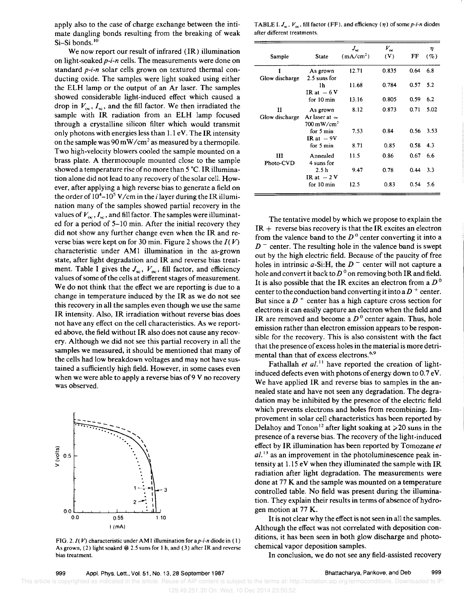apply also to the case of charge exchange between the intimate dangling bonds resulting from the breaking of weak Si-Si bonds.<sup>10</sup>

We now report our result of infrared (IR) illumination on light-soaked *p-i-n* cells. The measurements were done on standard *p-i-n* solar cells grown on textured thermal conducting oxide. The samples were light soaked using either the ELH lamp or the output of an Ar laser. The samples showed considerable light-induced effect which caused a drop in  $V_{\infty}$ ,  $I_{\infty}$ , and the fill factor. We then irradiated the sample with IR radiation from an ELH lamp focused through a crystalline silicon filter which would transmit only photons with energies less than  $1.1 \text{ eV}$ . The IR intensity on the sample was  $90 \text{ mW/cm}^2$  as measured by a thermopile. Two high-velocity blowers cooled the sample mounted on a brass plate. A thermocouple mounted close to the sample showed a temperature rise of no more than 5 °C. IR illumination alone did not lead to any recovery of the solar cell. However, after applying a high reverse bias to generate a field on the order of  $10^4$ – $10^5$  V/cm in the *i* layer during the IR illumination many of the samples showed partial recovery in the values of  $V_{\infty}$ ,  $I_{\infty}$ , and fill factor. The samples were illuminated for a period of 5-10 min. After the initial recovery they did not show any further change even when the IR and reverse bias were kept on for 30 min. Figure 2 shows the *I( V)*  characteristic under AM1 illumination in the as-grown state, after light degradation and IR and reverse bias treatment. Table I gives the  $J_{\rm sc}$ ,  $V_{\rm oc}$ , fill factor, and efficiency values of some of the cells at different stages of measurement. We do not think that the effect we are reporting is due to a change in temperature induced by the IR as we do not see this recovery in all the samples even though we use the same IR intensity. Also, IR irradiation without reverse bias does not have any effect on the cell characteristics. As we reported above, the field without IR also does not cause any recovery. Although we did not see this partial recovery in all the samples we measured, it should be mentioned that many of the cells had low breakdown voltages and may not have sustained a sufficiently high field. However, in some cases even when we were able to apply a reverse bias of  $9V$  no recovery was observed.



FIG. *2.I(* V) characteristic under AM I illumination for *ap-i-n* diode in ( I) As grown, (2) light soaked  $\omega$  2.5 suns for 1 h, and (3) after IR and reverse bias treatment.

TABLE I.  $J_{\infty}$ ,  $V_{\infty}$ , fill factor (FF), and efficiency ( $\eta$ ) of some *p-i-n* diodes after different treatments.

|                      |                                                      | $J_{sc}$              | $V_{oc}$ |      | η        |
|----------------------|------------------------------------------------------|-----------------------|----------|------|----------|
| Sample               | State                                                | (mA/cm <sup>2</sup> ) | (V)      | FF   | $( \% )$ |
| I<br>Glow discharge  | As grown<br>2.5 suns for                             | 12.71                 | 0.835    | 0.64 | 6.8      |
|                      | 1h<br>IR at $-6V$                                    | 11.68                 | 0.784    | 0.57 | 5.2      |
|                      | for $10 \text{ min}$                                 | 13.16                 | 0.805    | 0.59 | 6.2      |
| 11<br>Glow discharge | As grown<br>Ar laser at $\simeq$                     | 8.12                  | 0.873    | 0.71 | 5.02     |
|                      | $700 \,\mathrm{mW/cm^2}$<br>for 5 min<br>IR at $-9V$ | 7.53                  | 0.84     | 0.56 | 3.53     |
|                      | for 5 min                                            | 8.71                  | 0.85     | 0.58 | 4.3      |
| Ш<br>Photo-CVD       | Annealed<br>4 suns for                               | 11.5                  | 0.86     | 0.67 | 6.6      |
|                      | 2.5h<br>IR at $-2V$                                  | 9.47                  | 0.78     | 0.44 | 3.3      |
|                      | for 10 min                                           | 12.5                  | 0.83     | 0.54 | 5.6      |

The tentative model by which we propose to explain the  $IR +$  reverse bias recovery is that the IR excites an electron from the valence band to the  $D<sup>0</sup>$  center converting it into a  $D<sup>-</sup>$  center. The resulting hole in the valence band is swept out by the high electric field. Because of the paucity of free holes in intrinsic a-Si:H, the  $D$  <sup>-</sup> center will not capture a hole and convert it back to  $D^0$  on removing both IR and field. It is also possible that the IR excites an electron from a  $D^0$ center to the conduction band converting it into a  $D^+$  center. But since a  $D^+$  center has a high capture cross section for electrons it can easily capture an electron when the field and IR are removed and become *aDo* center again. Thus, hole emission rather than electron emission appears to be responsible for the recovery. This is also consistent with the fact that the presence of excess holes in the material is more detrimental than that of excess electrons. 6.9

Fathallah *et al.*<sup>11</sup> have reported the creation of lightinduced defects even with photons of energy down to 0.7 eV. We have applied IR and reverse bias to samples in the annealed state and have not seen any degradation. The degradation may be inhibited by the presence of the electric field which prevents electrons and holes from recombining. Improvement in solar cell characteristics has been reported by Delahoy and Tonon<sup>12</sup> after light soaking at  $\geq 20$  suns in the presence of a reverse bias. The recovery of the light-induced effect by IR illumination has been reported by Tomozane *et*   $aL^{13}$  as an improvement in the photoluminescence peak intensity at  $1.15$  eV when they illuminated the sample with IR radiation after light degradation. The measurements were done at 77 K and the sample was mounted on a temperature controlled table. No field was present during the illumination. They explain their results in terms of absence of hydrogen motion at 77 K.

It is not clear why the effect is not seen in all the samples. Although the effect was not correlated with deposition conditions, it has been seen in both glow discharge and photochemical vapor deposition samples.

In conclusion, we do not see any field-assisted recovery